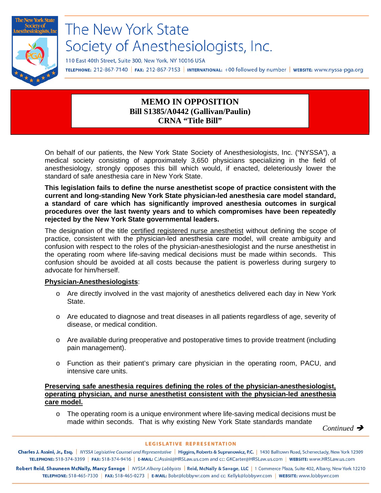

# The New York State Society of Anesthesiologists, Inc.

110 East 40th Street, Suite 300, New York, NY 10016 USA

TELEPHONE: 212-867-7140 | FAX: 212-867-7153 | INTERNATIONAL: +00 followed by number | WEBSITE: www.nyssa-pga.org

## **MEMO IN OPPOSITION Bill S1385/A0442 (Gallivan/Paulin) CRNA "Title Bill"**

On behalf of our patients, the New York State Society of Anesthesiologists, Inc. ("NYSSA"), a medical society consisting of approximately 3,650 physicians specializing in the field of anesthesiology, strongly opposes this bill which would, if enacted, deleteriously lower the standard of safe anesthesia care in New York State.

**This legislation fails to define the nurse anesthetist scope of practice consistent with the current and long-standing New York State physician-led anesthesia care model standard, a standard of care which has significantly improved anesthesia outcomes in surgical procedures over the last twenty years and to which compromises have been repeatedly rejected by the New York State governmental leaders.** 

The designation of the title certified registered nurse anesthetist without defining the scope of practice, consistent with the physician-led anesthesia care model, will create ambiguity and confusion with respect to the roles of the physician-anesthesiologist and the nurse anesthetist in the operating room where life-saving medical decisions must be made within seconds. This confusion should be avoided at all costs because the patient is powerless during surgery to advocate for him/herself.

#### **Physician-Anesthesiologists**:

- o Are directly involved in the vast majority of anesthetics delivered each day in New York State.
- o Are educated to diagnose and treat diseases in all patients regardless of age, severity of disease, or medical condition.
- o Are available during preoperative and postoperative times to provide treatment (including pain management).
- o Function as their patient's primary care physician in the operating room, PACU, and intensive care units.

### **Preserving safe anesthesia requires defining the roles of the physician-anesthesiologist, operating physician, and nurse anesthetist consistent with the physician-led anesthesia care model.**

 $\circ$  The operating room is a unique environment where life-saving medical decisions must be made within seconds. That is why existing New York State standards mandate

*Continued* 

#### **LEGISLATIVE REPRESENTATION**

Charles J. Assini, Jr., Esq. | NYSSA Legislative Counsel and Representative | Higgins, Roberts & Suprunowicz, P.C. | 1430 Balltown Road, Schenectady, New York 12309 TELEPHONE: 518-374-3399 | FAX: 518-374-9416 | E-MAIL: CJAssini@HRSLaw.us.com and cc: GKCarter@HRSLaw.us.com | WEBSITE: www.HRSLaw.us.com

Robert Reid, Shauneen McNally, Marcy Savage | NYSSA Albany Lobbyists | Reid, McNally & Savage, LLC | 1 Commerce Plaza, Suite 402, Albany, New York 12210 TELEPHONE: 518-465-7330 | FAX: 518-465-0273 | E-MAIL: Bobr@lobbywr.com and cc: Kellyk@lobbywr.com | WEBSITE: www.lobbywr.com